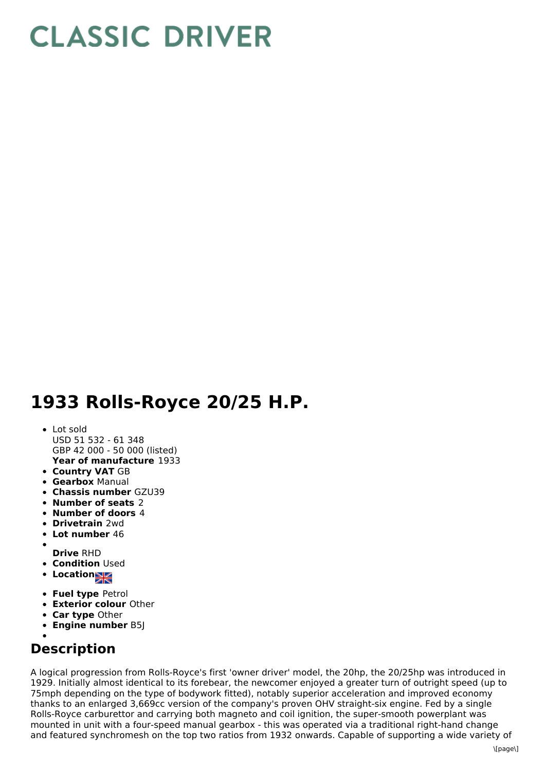# **CLASSIC DRIVER**

## **1933 Rolls-Royce 20/25 H.P.**

### **Year of manufacture** 1933 Lot sold USD 51 532 - 61 348 GBP 42 000 - 50 000 (listed)

- **Country VAT** GB
- **Gearbox** Manual
- **Chassis number** GZU39
- **Number of seats** 2
- **Number of doors** 4
- **Drivetrain** 2wd
- **Lot number** 46
- **Drive** RHD
- **Condition Used**
- **•** Location
- 
- **Fuel type** Petrol
- **Exterior colour** Other
- **Car type** Other
- **Engine number** B5J

## **Description**

A logical progression from Rolls-Royce's first 'owner driver' model, the 20hp, the 20/25hp was introduced in 1929. Initially almost identical to its forebear, the newcomer enjoyed a greater turn of outright speed (up to 75mph depending on the type of bodywork fitted), notably superior acceleration and improved economy thanks to an enlarged 3,669cc version of the company's proven OHV straight-six engine. Fed by a single Rolls-Royce carburettor and carrying both magneto and coil ignition, the super-smooth powerplant was mounted in unit with a four-speed manual gearbox - this was operated via a traditional right-hand change and featured synchromesh on the top two ratios from 1932 onwards. Capable of supporting a wide variety of